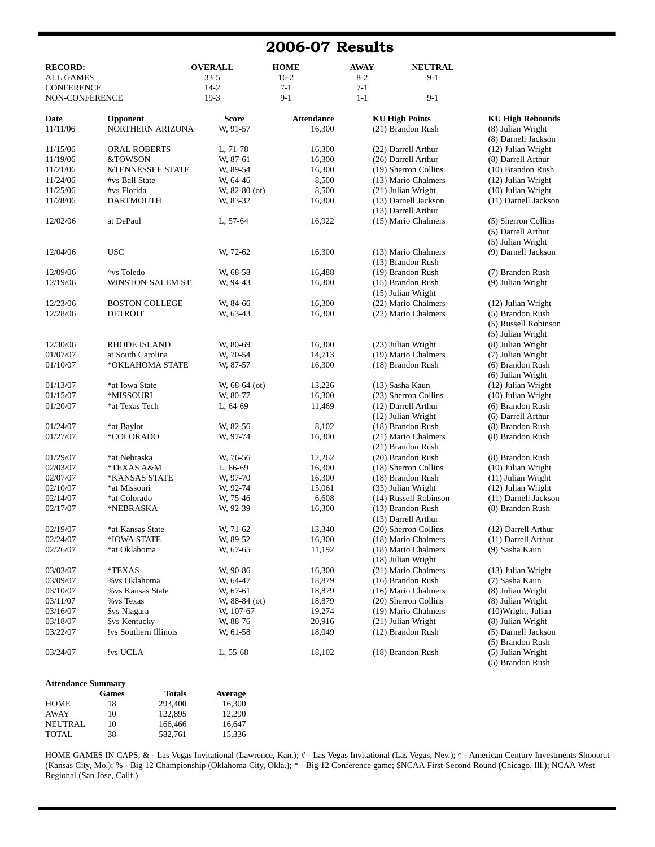### **2006-07 Results**

| <b>RECORD:</b>    |                             | <b>OVERALL</b>  | <b>HOME</b>       | <b>AWAY</b> | <b>NEUTRAL</b>        |                         |
|-------------------|-----------------------------|-----------------|-------------------|-------------|-----------------------|-------------------------|
| <b>ALL GAMES</b>  |                             | $33 - 5$        | $16-2$            | $8-2$       | $9-1$                 |                         |
| <b>CONFERENCE</b> |                             | $14 - 2$        | $7-1$             | $7-1$       |                       |                         |
| NON-CONFERENCE    |                             | $19-3$          | $9-1$             | $1 - 1$     | $9-1$                 |                         |
| Date              | Opponent                    | Score           | <b>Attendance</b> |             | <b>KU High Points</b> | <b>KU High Rebounds</b> |
| 11/11/06          | NORTHERN ARIZONA            | W, 91-57        | 16,300            |             | (21) Brandon Rush     | (8) Julian Wright       |
|                   |                             |                 |                   |             |                       | (8) Darnell Jackson     |
| 11/15/06          | <b>ORAL ROBERTS</b>         | L, 71-78        | 16,300            |             | (22) Darrell Arthur   | (12) Julian Wright      |
| 11/19/06          | &TOWSON                     | W, 87-61        | 16,300            |             | (26) Darrell Arthur   | (8) Darrell Arthur      |
| 11/21/06          | <b>&amp;TENNESSEE STATE</b> | W, 89-54        | 16,300            |             | (19) Sherron Collins  | (10) Brandon Rush       |
| 11/24/06          | #vs Ball State              | W, 64-46        | 8,500             |             | (13) Mario Chalmers   | (12) Julian Wright      |
| 11/25/06          | #vs Florida                 | $W, 82-80$ (ot) | 8,500             |             | (21) Julian Wright    | (10) Julian Wright      |
| 11/28/06          | <b>DARTMOUTH</b>            | W, 83-32        | 16,300            |             | (13) Darnell Jackson  | (11) Darnell Jackson    |
|                   |                             |                 |                   |             | (13) Darrell Arthur   |                         |
| 12/02/06          | at DePaul                   | L, 57-64        | 16,922            |             | (15) Mario Chalmers   | (5) Sherron Collins     |
|                   |                             |                 |                   |             |                       | (5) Darrell Arthur      |
|                   |                             |                 |                   |             |                       | (5) Julian Wright       |
| 12/04/06          | <b>USC</b>                  | W, 72-62        | 16,300            |             | (13) Mario Chalmers   | (9) Darnell Jackson     |
|                   |                             |                 |                   |             | (13) Brandon Rush     |                         |
| 12/09/06          | ^vs Toledo                  | W. 68-58        | 16,488            |             | (19) Brandon Rush     | (7) Brandon Rush        |
| 12/19/06          | WINSTON-SALEM ST.           | W, 94-43        | 16,300            |             | (15) Brandon Rush     | (9) Julian Wright       |
|                   |                             |                 |                   |             | (15) Julian Wright    |                         |
| 12/23/06          | <b>BOSTON COLLEGE</b>       | W, 84-66        | 16,300            |             | (22) Mario Chalmers   | (12) Julian Wright      |
| 12/28/06          | <b>DETROIT</b>              | W, 63-43        | 16,300            |             | (22) Mario Chalmers   | (5) Brandon Rush        |
|                   |                             |                 |                   |             |                       | (5) Russell Robinson    |
|                   |                             |                 |                   |             |                       | (5) Julian Wright       |
| 12/30/06          | <b>RHODE ISLAND</b>         | W, 80-69        | 16,300            |             | (23) Julian Wright    | (8) Julian Wright       |
| 01/07/07          | at South Carolina           | W, 70-54        | 14,713            |             | (19) Mario Chalmers   | (7) Julian Wright       |
| 01/10/07          | *OKLAHOMA STATE             | W, 87-57        | 16,300            |             | (18) Brandon Rush     | (6) Brandon Rush        |
|                   |                             |                 |                   |             |                       | (6) Julian Wright       |
| 01/13/07          | *at Iowa State              | W, $68-64$ (ot) | 13,226            |             | (13) Sasha Kaun       | (12) Julian Wright      |
| 01/15/07          | *MISSOURI                   | W, 80-77        | 16,300            |             | (23) Sherron Collins  | (10) Julian Wright      |
| 01/20/07          | *at Texas Tech              | L, 64-69        | 11,469            |             | (12) Darrell Arthur   | (6) Brandon Rush        |
|                   |                             |                 |                   |             | (12) Julian Wright    | (6) Darrell Arthur      |
| 01/24/07          | *at Baylor                  | W, 82-56        | 8,102             |             | (18) Brandon Rush     | (8) Brandon Rush        |
| 01/27/07          | *COLORADO                   | W, 97-74        | 16,300            |             | (21) Mario Chalmers   | (8) Brandon Rush        |
|                   |                             |                 |                   |             | (21) Brandon Rush     |                         |
| 01/29/07          | *at Nebraska                | W, 76-56        | 12,262            |             | (20) Brandon Rush     | (8) Brandon Rush        |
| 02/03/07          | *TEXAS A&M                  | $L, 66-69$      | 16,300            |             | (18) Sherron Collins  | (10) Julian Wright      |
| 02/07/07          | *KANSAS STATE               | W, 97-70        | 16,300            |             | (18) Brandon Rush     | (11) Julian Wright      |
| 02/10/07          | *at Missouri                | W, 92-74        | 15,061            |             | (33) Julian Wright    | (12) Julian Wright      |
| 02/14/07          | *at Colorado                | W, 75-46        | 6,608             |             | (14) Russell Robinson | (11) Darnell Jackson    |
| 02/17/07          | *NEBRASKA                   | W, 92-39        | 16,300            |             | (13) Brandon Rush     | (8) Brandon Rush        |
|                   |                             |                 |                   |             | (13) Darrell Arthur   |                         |
| 02/19/07          | *at Kansas State            | W, 71-62        | 13,340            |             | (20) Sherron Collins  | (12) Darrell Arthur     |
| 02/24/07          | *IOWA STATE                 | W, 89-52        | 16,300            |             | (18) Mario Chalmers   | (11) Darrell Arthur     |
| 02/26/07          | *at Oklahoma                | W, 67-65        | 11,192            |             | (18) Mario Chalmers   | (9) Sasha Kaun          |
|                   |                             |                 |                   |             | (18) Julian Wright    |                         |
| 03/03/07          | *TEXAS                      | W, 90-86        | 16,300            |             | (21) Mario Chalmers   | (13) Julian Wright      |
| 03/09/07          | % vs Oklahoma               | W, 64-47        | 18,879            |             | (16) Brandon Rush     | (7) Sasha Kaun          |
| 03/10/07          | % vs Kansas State           | W, 67-61        | 18,879            |             | (16) Mario Chalmers   | (8) Julian Wright       |
| 03/11/07          | % vs Texas                  | W, $88-84$ (ot) | 18,879            |             | (20) Sherron Collins  | (8) Julian Wright       |
| 03/16/07          | \$vs Niagara                | W, 107-67       | 19,274            |             | (19) Mario Chalmers   | (10) Wright, Julian     |
| 03/18/07          | \$vs Kentucky               | W, 88-76        | 20,916            |             | (21) Julian Wright    | (8) Julian Wright       |
| 03/22/07          | !vs Southern Illinois       | W, 61-58        | 18,049            |             | (12) Brandon Rush     | (5) Darnell Jackson     |
|                   |                             |                 |                   |             |                       | (5) Brandon Rush        |
| 03/24/07          | 'vs UCLA                    | $L, 55-68$      | 18,102            |             | (18) Brandon Rush     | (5) Julian Wright       |
|                   |                             |                 |                   |             |                       | (5) Brandon Rush        |
|                   |                             |                 |                   |             |                       |                         |

| <b>Attendance Summary</b> |  |
|---------------------------|--|
|                           |  |

|             | <b>Games</b> | <b>Totals</b> | Average |
|-------------|--------------|---------------|---------|
| HOME        | 18           | 293,400       | 16.300  |
| <b>AWAY</b> | 10           | 122,895       | 12.290  |
| NEUTRAL.    | 10           | 166,466       | 16.647  |
| TOTAL       | 38           | 582.761       | 15.336  |

HOME GAMES IN CAPS; & - Las Vegas Invitational (Lawrence, Kan.); # - Las Vegas Invitational (Las Vegas, Nev.); ^ - American Century Investments Shootout (Kansas City, Mo.); % - Big 12 Championship (Oklahoma City, Okla.); \* - Big 12 Conference game; \$NCAA First-Second Round (Chicago, Ill.); NCAA West Regional (San Jose, Calif.)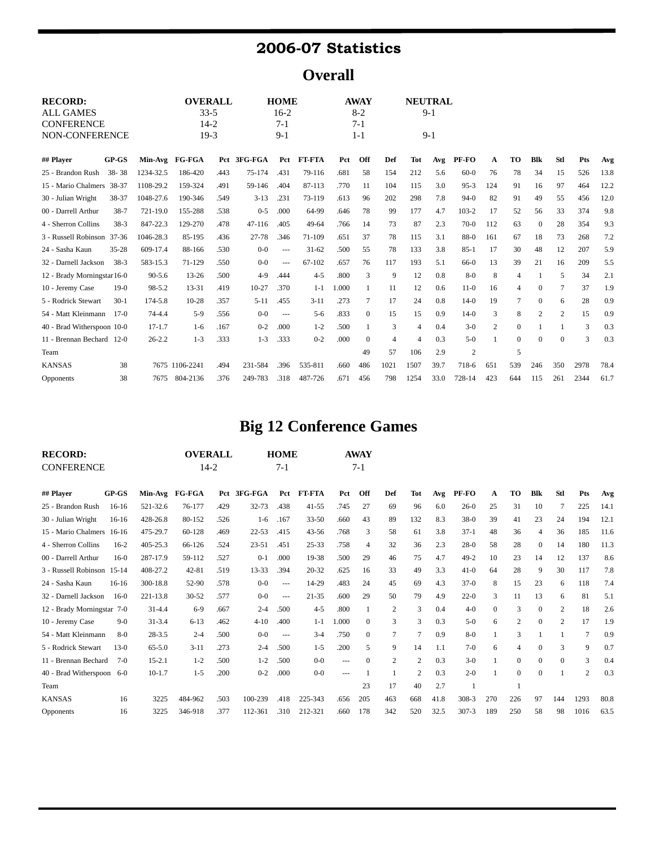## **2006-07 Statistics**

**Overall**

| <b>RECORD:</b>             |           |            |                | <b>OVERALL</b> |           | <b>HOME</b> |               |       | <b>AWAY</b>  |       |                | <b>NEUTRAL</b> |                |                |              |              |            |      |      |
|----------------------------|-----------|------------|----------------|----------------|-----------|-------------|---------------|-------|--------------|-------|----------------|----------------|----------------|----------------|--------------|--------------|------------|------|------|
| <b>ALL GAMES</b>           |           | $33-5$     |                |                | $16-2$    |             | $8-2$         |       |              | $9-1$ |                |                |                |                |              |              |            |      |      |
| <b>CONFERENCE</b>          |           |            |                | $14 - 2$       |           | $7-1$       |               |       | $7-1$        |       |                |                |                |                |              |              |            |      |      |
| NON-CONFERENCE             |           |            |                | $19-3$         |           | $9-1$       |               |       | $1 - 1$      |       |                | $9-1$          |                |                |              |              |            |      |      |
| ## Player                  | $GP-GS$   |            | Min-Avg FG-FGA | Pct            | 3FG-FGA   | Pct         | <b>FT-FTA</b> | Pct   | Off          | Def   | <b>Tot</b>     | Avg            | PF-FO          | A              | TO           | <b>Blk</b>   | <b>Stl</b> | Pts  | Avg  |
| 25 - Brandon Rush          | 38-38     | 1234-32.5  | 186-420        | .443           | 75-174    | .431        | 79-116        | .681  | 58           | 154   | 212            | 5.6            | $60-0$         | 76             | 78           | 34           | 15         | 526  | 13.8 |
| 15 - Mario Chalmers        | 38-37     | 1108-29.2  | 159-324        | .491           | 59-146    | .404        | 87-113        | .770  | 11           | 104   | 115            | 3.0            | $95 - 3$       | 124            | 91           | 16           | 97         | 464  | 12.2 |
| 30 - Julian Wright         | 38-37     | 1048-27.6  | 190-346        | .549           | $3 - 13$  | .231        | 73-119        | .613  | 96           | 202   | 298            | 7.8            | $94-0$         | 82             | 91           | 49           | 55         | 456  | 12.0 |
| 00 - Darrell Arthur        | $38 - 7$  | 721-19.0   | 155-288        | .538           | $0 - 5$   | .000        | 64-99         | .646  | 78           | 99    | 177            | 4.7            | $103 - 2$      | 17             | 52           | 56           | 33         | 374  | 9.8  |
| 4 - Sherron Collins        | $38-3$    | 847-22.3   | 129-270        | .478           | 47-116    | .405        | 49-64         | .766  | 14           | 73    | 87             | 2.3            | $70-0$         | 112            | 63           | $\mathbf{0}$ | 28         | 354  | 9.3  |
| 3 - Russell Robinson 37-36 |           | 1046-28.3  | 85-195         | .436           | 27-78     | .346        | 71-109        | .651  | 37           | 78    | 115            | 3.1            | 88-0           | 161            | 67           | 18           | 73         | 268  | 7.2  |
| 24 - Sasha Kaun            | $35 - 28$ | 609-17.4   | 88-166         | .530           | $0-0$     | $---$       | $31 - 62$     | .500  | 55           | 78    | 133            | 3.8            | $85-1$         | 17             | 30           | 48           | 12         | 207  | 5.9  |
| 32 - Darnell Jackson       | $38-3$    | 583-15.3   | 71-129         | .550           | $0-0$     | $---$       | $67 - 102$    | .657  | 76           | 117   | 193            | 5.1            | 66-0           | 13             | 39           | 21           | 16         | 209  | 5.5  |
| 12 - Brady Morningstar16-0 |           | $90 - 5.6$ | $13 - 26$      | .500           | $4-9$     | .444        | $4 - 5$       | .800  | 3            | 9     | 12             | 0.8            | $8-0$          | 8              | 4            |              | 5          | 34   | 2.1  |
| 10 - Jeremy Case           | $19-0$    | 98-5.2     | $13 - 31$      | .419           | $10 - 27$ | .370        | $1 - 1$       | 1.000 |              | 11    | 12             | 0.6            | $11-0$         | 16             | 4            | $\Omega$     | 7          | 37   | 1.9  |
| 5 - Rodrick Stewart        | $30-1$    | 174-5.8    | $10 - 28$      | .357           | $5 - 11$  | .455        | $3 - 11$      | .273  | 7            | 17    | 24             | 0.8            | $14-0$         | 19             | 7            | $\Omega$     | 6          | 28   | 0.9  |
| 54 - Matt Kleinmann        | $17-0$    | $74 - 4.4$ | $5-9$          | .556           | $0 - 0$   | $--$        | $5 - 6$       | .833  | $\Omega$     | 15    | 15             | 0.9            | $14-0$         | 3              | 8            | 2            | 2          | 15   | 0.9  |
| 40 - Brad Witherspoon 10-0 |           | $17 - 1.7$ | $1-6$          | .167           | $0 - 2$   | .000        | $1 - 2$       | .500  | 1            | 3     | $\overline{4}$ | 0.4            | $3-0$          | $\overline{2}$ | $\mathbf{0}$ |              |            | 3    | 0.3  |
| 11 - Brennan Bechard 12-0  |           | $26 - 2.2$ | $1 - 3$        | .333           | $1 - 3$   | .333        | $0 - 2$       | .000  | $\mathbf{0}$ | 4     | 4              | 0.3            | $5-0$          |                | $\mathbf{0}$ | $\Omega$     | $\Omega$   | 3    | 0.3  |
| Team                       |           |            |                |                |           |             |               |       | 49           | 57    | 106            | 2.9            | $\mathfrak{2}$ |                | 5            |              |            |      |      |
| <b>KANSAS</b>              | 38        |            | 7675 1106-2241 | .494           | 231-584   | .396        | 535-811       | .660  | 486          | 1021  | 1507           | 39.7           | 718-6          | 651            | 539          | 246          | 350        | 2978 | 78.4 |
| Opponents                  | 38        | 7675       | 804-2136       | .376           | 249-783   | .318        | 487-726       | .671  | 456          | 798   | 1254           | 33.0           | 728-14         | 423            | 644          | 115          | 261        | 2344 | 61.7 |

# **Big 12 Conference Games**

| <b>RECORD:</b>             |         |            | <b>OVERALL</b> |          |             | <b>HOME</b> |               |       | <b>AWAY</b>      |     |                |      |           |     |                |              |              |                |      |
|----------------------------|---------|------------|----------------|----------|-------------|-------------|---------------|-------|------------------|-----|----------------|------|-----------|-----|----------------|--------------|--------------|----------------|------|
| <b>CONFERENCE</b>          |         |            |                | $14 - 2$ |             | $7-1$       |               |       | $7-1$            |     |                |      |           |     |                |              |              |                |      |
| ## Plaver                  | $GP-GS$ |            | Min-Avg FG-FGA |          | Pct 3FG-FGA | Pct         | <b>FT-FTA</b> | Pct   | Off              | Def | <b>Tot</b>     | Avg  | PF-FO     | A   | <b>TO</b>      | <b>Blk</b>   | <b>Stl</b>   | Pts            | Avg  |
| 25 - Brandon Rush          | $16-16$ | 521-32.6   | 76-177         | .429     | 32-73       | .438        | $41 - 55$     | .745  | 27               | 69  | 96             | 6.0  | $26-0$    | 25  | 31             | 10           | 7            | 225            | 14.1 |
| 30 - Julian Wright         | $16-16$ | 428-26.8   | 80-152         | .526     | $1-6$       | .167        | $33 - 50$     | .660  | 43               | 89  | 132            | 8.3  | $38-0$    | 39  | 41             | 23           | 24           | 194            | 12.1 |
| 15 - Mario Chalmers        | $16-16$ | 475-29.7   | 60-128         | .469     | $22 - 53$   | .415        | $43 - 56$     | .768  | 3                | 58  | 61             | 3.8  | $37-1$    | 48  | 36             | 4            | 36           | 185            | 11.6 |
| 4 - Sherron Collins        | $16-2$  | 405-25.3   | 66-126         | .524     | $23 - 51$   | .451        | $25 - 33$     | .758  | $\overline{4}$   | 32  | 36             | 2.3  | $28-0$    | 58  | 28             | $\mathbf{0}$ | 14           | 180            | 11.3 |
| 00 - Darrell Arthur        | $16-0$  | 287-17.9   | 59-112         | .527     | $0 - 1$     | .000        | 19-38         | .500  | 29               | 46  | 75             | 4.7  | $49 - 2$  | 10  | 23             | 14           | 12           | 137            | 8.6  |
| 3 - Russell Robinson 15-14 |         | 408-27.2   | $42 - 81$      | .519     | 13-33       | .394        | $20 - 32$     | .625  | 16               | 33  | 49             | 3.3  | $41-0$    | 64  | 28             | 9            | 30           | 117            | 7.8  |
| 24 - Sasha Kaun            | $16-16$ | 300-18.8   | 52-90          | .578     | $0-0$       | $---$       | 14-29         | .483  | 24               | 45  | 69             | 4.3  | $37-0$    | 8   | 15             | 23           | 6            | 118            | 7.4  |
| 32 - Darnell Jackson       | $16-0$  | 221-13.8   | $30 - 52$      | .577     | $0 - 0$     | $\cdots$    | $21 - 35$     | .600  | 29               | 50  | 79             | 4.9  | $22-0$    | 3   | 11             | 13           | 6            | 81             | 5.1  |
| 12 - Brady Morningstar 7-0 |         | $31 - 4.4$ | $6-9$          | .667     | $2 - 4$     | .500        | $4 - 5$       | .800  | 1                | 2   | 3              | 0.4  | $4 - 0$   | 0   | 3              | $\mathbf{0}$ | 2            | 18             | 2.6  |
| 10 - Jeremy Case           | $9-0$   | $31 - 3.4$ | $6 - 13$       | .462     | $4 - 10$    | .400        | $1 - 1$       | 1.000 | $\mathbf{0}$     | 3   | 3              | 0.3  | $5-0$     | 6   | $\overline{2}$ | $\mathbf{0}$ | 2            | 17             | 1.9  |
| 54 - Matt Kleinmann        | $8-0$   | $28 - 3.5$ | $2 - 4$        | .500     | $0 - 0$     | $---$       | $3 - 4$       | .750  | $\mathbf{0}$     | 7   | $\tau$         | 0.9  | $8-0$     |     | 3              |              |              | $\tau$         | 0.9  |
| 5 - Rodrick Stewart        | $13-0$  | $65 - 5.0$ | $3 - 11$       | .273     | $2 - 4$     | .500        | $1 - 5$       | .200  | 5                | 9   | 14             | 1.1  | $7-0$     | 6   | 4              | $\Omega$     | 3            | 9              | 0.7  |
| 11 - Brennan Bechard       | $7-0$   | $15 - 2.1$ | $1 - 2$        | .500     | $1 - 2$     | .500        | $0 - 0$       | $---$ | $\boldsymbol{0}$ | 2   | $\overline{c}$ | 0.3  | $3-0$     |     | $\mathbf{0}$   | $\mathbf{0}$ | $\mathbf{0}$ | 3              | 0.4  |
| 40 - Brad Witherspoon      | $6-0$   | $10-1.7$   | $1 - 5$        | .200     | $0 - 2$     | .000        | $0 - 0$       | $---$ |                  |     | $\overline{c}$ | 0.3  | $2 - 0$   |     | $\mathbf{0}$   | $\Omega$     |              | $\overline{2}$ | 0.3  |
| Team                       |         |            |                |          |             |             |               |       | 23               | 17  | 40             | 2.7  |           |     |                |              |              |                |      |
| <b>KANSAS</b>              | 16      | 3225       | 484-962        | .503     | 100-239     | .418        | 225-343       | .656  | 205              | 463 | 668            | 41.8 | $308-3$   | 270 | 226            | 97           | 144          | 1293           | 80.8 |
| Opponents                  | 16      | 3225       | 346-918        | .377     | 112-361     | .310        | 212-321       | .660  | 178              | 342 | 520            | 32.5 | $307 - 3$ | 189 | 250            | 58           | 98           | 1016           | 63.5 |